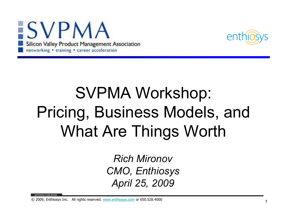



# SVPMA Workshop:Pricing, Business Models, and What Are Things Worth

Rich Mironov CMO, EnthiosysApril 25, 2009

© 2009, Enthiosys Inc. All rights reserved. www.enthiosys.com or 650.528.4000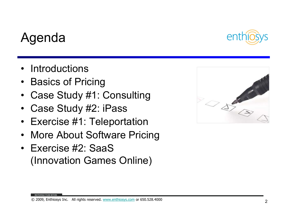#### © 2009, Enthiosys Inc. All rights reserved. www.enthiosys.com or 650.528.4000

#### Agenda

- $\bullet$ **Introductions**
- $\bullet$ Basics of Pricing
- •Case Study #1: Consulting
- $\bullet$ Case Study #2: iPass
- •Exercise #1: Teleportation
- $\bullet$ More About Software Pricing
- Exercise #2: SaaS (Innovation Games Online)



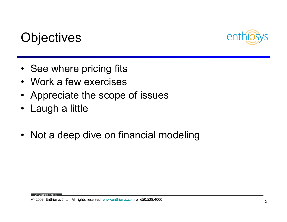

#### **Objectives**

- See where pricing fits
- Work a few exercises
- Appreciate the scope of issues
- •Laugh a little

**ITIVATED FROM WITHII** 

• Not a deep dive on financial modeling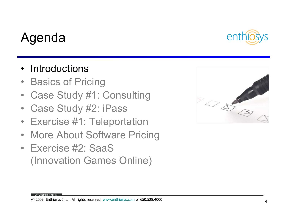#### Agenda

MOTIVATED FROM WITHIN

#### $\bullet$ **Introductions**

- $\bullet$ Basics of Pricing
- $\bullet$ Case Study #1: Consulting
- $\bullet$ Case Study #2: iPass
- Exercise #1: Teleportation  $\bullet$
- $\bullet$ More About Software Pricing
- Exercise #2: SaaS (Innovation Games Online)



#### © 2009, Enthiosys Inc. All rights reserved. www.enthiosys.com or 650.528.4000

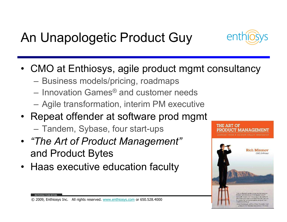### An Unapologetic Product Guy



- CMO at Enthiosys, agile product mgmt consultancy
	- –Business models/pricing, roadmaps
	- Innovation Games ® and customer needs
	- Agile transformation, interim PM executive
- Repeat offender at software prod mgmt
	- –Tandem, Sybase, four start-ups
- "The Art of Product Management" and Product Bytes
- Haas executive education faculty



© 2009, Enthiosys Inc. All rights reserved. www.enthiosys.com or 650.528.4000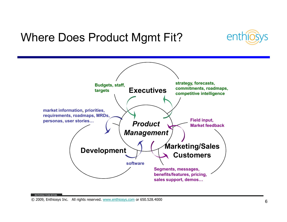#### Where Does Product Mgmt Fit?



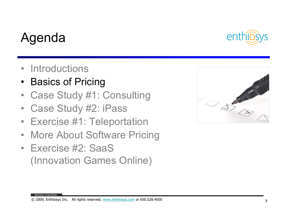#### © 2009, Enthiosys Inc. All rights reserved. www.enthiosys.com or 650.528.4000

#### Agenda

- $\bullet$ **Introductions**
- $\bullet$ Basics of Pricing
- $\bullet$ Case Study #1: Consulting
- $\bullet$ Case Study #2: iPass
- Exercise #1: Teleportation  $\bullet$
- $\bullet$ More About Software Pricing
- Exercise #2: SaaS (Innovation Games Online)



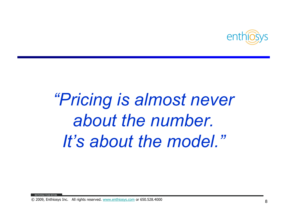

"Pricing is almost never about the number. It's about the model."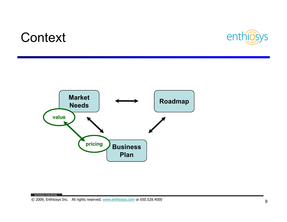#### **Context**



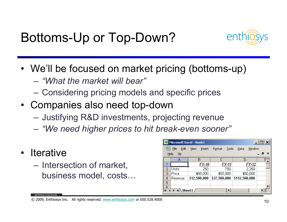Bottoms-Up or Top-Down?



- We'll be focused on market pricing (bottoms-up)<br>"We'll be focused on market pricing (bottoms-up)
	- – $-$  "What the market will bear"
	- Considering pricing models and specific prices
- Companies also need top-down
	- Justifying R&D investments, projecting revenue
	- –"We need higher prices to hit break-even sooner"
- Iterative<br>• Interne
	- Intersection of market, business model, costs…

|   | Microsoft Excel - Book1 |                |                 |                | $ \Box$ $\times$ |
|---|-------------------------|----------------|-----------------|----------------|------------------|
| 国 | File<br>Edit            | View<br>Insert | Tools<br>Format | Window<br>Data |                  |
|   | Help<br>Zip             |                |                 |                | _ <i>큰</i> ×     |
|   | А                       | в              | С               | D              |                  |
|   |                         | FY 10          | FY 11           | FY 12          |                  |
| 2 | Units                   | 250            | 750             | 2,250          |                  |
| 3 | Price                   | \$50,000       | \$50,000        | \$50,000       |                  |
| 4 | Revenue                 | \$12,500,000   | \$37,500,000    | \$112,500,000  |                  |
| 5 |                         |                |                 |                |                  |
| я |                         |                |                 |                |                  |
| н | $H \setminus$ Sheet1 /  |                |                 |                |                  |

© 2009, Enthiosys Inc. All rights reserved. www.enthiosys.com or 650.528.4000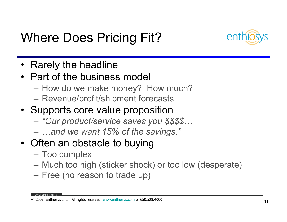### Where Does Pricing Fit?



- •Rarely the headline
- Part of the business model<br>How do we make manay?
	- How do we make money? How much?
	- Revenue/profit/shipment forecasts
- Supports core value proposition
	- "Our product/service saves vou y "Our product/service saves you \$\$\$\$…
	- …and we want 15% of the savings."
- Often an obstacle to buying
	- Too complex
	- –Much too high (sticker shock) or too low (desperate)
	- Free (no reason to trade up)

© 2009, Enthiosys Inc. All rights reserved. www.enthiosys.com or 650.528.4000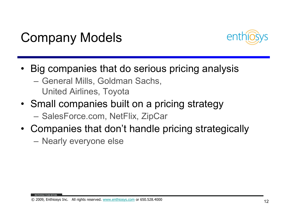



- Big companies that do serious pricing analysis
	- –General Mills, Goldman Sachs, United Airlines, Toyota
- Small companies built on a pricing strategy SalesForce.com, NetFlix, ZipCar
- Companies that don't handle pricing strategically
	- Nearly everyone else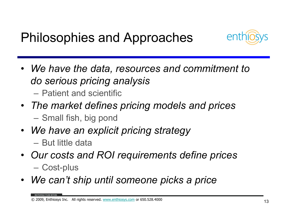#### Philosophies and Approaches



• We have the data, resources and commitment to do serious pricing analysis

Patient and scientific

- The market defines pricing models and prices–Small fish, big pond
- We have an explicit pricing strategyBut little data
- Our costs and ROI requirements define pricesCost-plus
- We can't ship until someone picks a price

© 2009, Enthiosys Inc. All rights reserved. www.enthiosys.com or 650.528.4000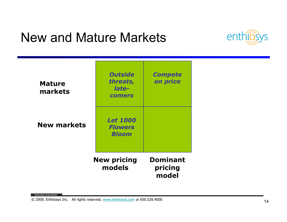#### New and Mature Markets



| <b>Mature</b><br>markets | <b>Outside</b><br>threats,<br>late-<br><b>comers</b> | <b>Compete</b><br>on price          |
|--------------------------|------------------------------------------------------|-------------------------------------|
| <b>New markets</b>       | <b>Let 1000</b><br><b>Flowers</b><br><b>Bloom</b>    |                                     |
|                          | <b>New pricing</b><br>models                         | <b>Dominant</b><br>pricing<br>model |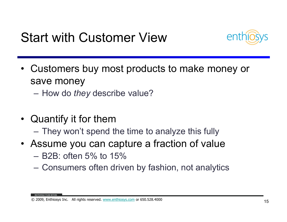Start with Customer View



• Customers buy most products to make money or save money

How do they describe value?

- Quantify it for them
	- $-$  THAY WAITE SHAIR They won't spend the time to analyze this fully
- Assume you can capture a fraction of value
	- –B2B: often 5% to 15%
	- Consumers ouen or Consumers often driven by fashion, not analytics

© 2009, Enthiosys Inc. All rights reserved. www.enthiosys.com or 650.528.4000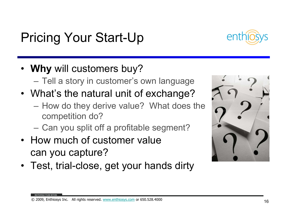#### Pricing Your Start-Up

- Why will customers buy?
	- –Tell a story in customer's own language
- What's the natural unit of exchange?
	- How do they derive value? What does the competition do?
	- –Can you split off a profitable segment?
- How much of customer value can you capture?
- Test, trial-close, get your hands dirty



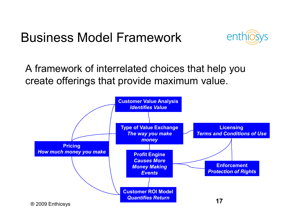#### Business Model Framework



A framework of interrelated choices that help you create offerings that provide maximum value.

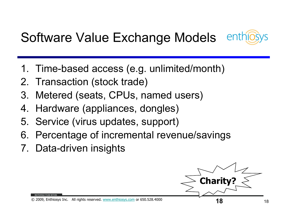### Software Value Exchange Models



- 1. Time-based access (e.g. unlimited/month)
- 2. Transaction (stock trade)<br>3. Metered (seats. CPUs. na
- Metered (seats, CPUs, named users)
- 4.Hardware (appliances, dongles)
- 5. Service (virus updates, support)
- 6. Percentage of incremental revenue/savings
- 7. Data-driven insights



© 2009, Enthiosys Inc. All rights reserved. www.enthiosys.com or 650.528.4000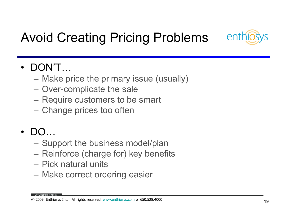

### Avoid Creating Pricing Problems

#### •DON'T…

- Ivianc Make price the primary issue (usually)
- Over-complicate the sale
- Require customers to be smart
- $-$  Change prices too often
- • DO…
	- –Support the business model/plan
	- Reinforce (charge for) key benefits
	- $\mathcal{L}_{\mathcal{A}}$  , where  $\mathcal{L}_{\mathcal{A}}$  is the set of the set of the set of the set of the set of the set of the set of the set of the set of the set of the set of the set of the set of the set of the set of the set of the Pick natural units
	- Make correct ordering easier

© 2009, Enthiosys Inc. All rights reserved. www.enthiosys.com or 650.528.4000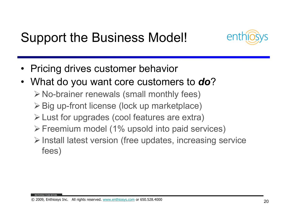#### Support the Business Model!



- $\bullet$ Pricing drives customer behavior
- What do you want core customers to **do**?
	- No-brainer renewals (small monthly fees)
	- **≻ Big up-front license (lock up marketplace)**
	- $\triangleright$  Lust for upgrades (cool features are extra)
	- $\triangleright$  Freemium model (1% upsold into paid services)
	- $\triangleright$  Install latest version (free updates, increasing service fees)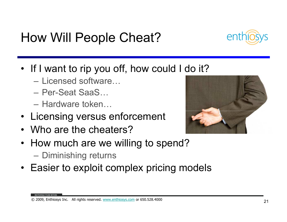#### How Will People Cheat?

- If I want to rip you off, how could I do it?
	- –Licensed software...
	- Per-Seat SaaS…
	- –Hardware token…
- Licensing versus enforcement
- Who are the cheaters?
- How much are we willing to spend? Diminishing returns
- Easier to exploit complex pricing models

#### © 2009, Enthiosys Inc. All rights reserved. www.enthiosys.com or 650.528.4000



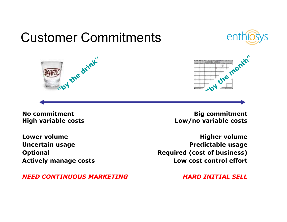### Customer Commitments

y the drink"





No commitmentHigh variable costs

Lower volume Uncertain usage**Optional** Actively manage costs

NEED CONTINUOUS MARKETING

 Big commitment Low/no variable costs

Higher volume Predictable usage Required (cost of business)Low cost control effort

HARD INITIAL SELL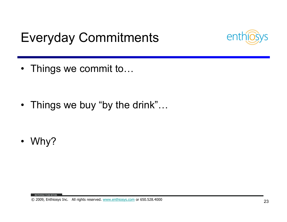### Everyday Commitments



- Things we commit to…
- Things we buy "by the drink"…
- Why?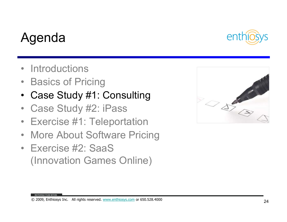#### © 2009, Enthiosys Inc. All rights reserved. www.enthiosys.com or 650.528.4000

#### Agenda

- $\bullet$ **Introductions**
- $\bullet$ Basics of Pricing
- •Case Study #1: Consulting
- $\bullet$ Case Study #2: iPass
- Exercise #1: Teleportation  $\bullet$
- $\bullet$ More About Software Pricing
- Exercise #2: SaaS (Innovation Games Online)



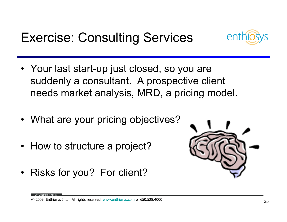Exercise: Consulting Services



- Your last start-up just closed, so you are<br>cuddents a sensultant. A presentive elim suddenly a consultant. A prospective client needs market analysis, MRD, a pricing model.
- What are your pricing objectives?
- How to structure a project?
- •Risks for you? For client?

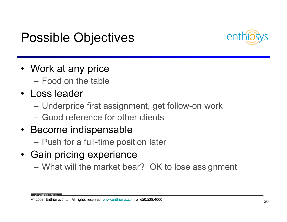#### Possible Objectives



- Work at any price –Food on the table
- Loss leader
	- Underprice first assignment, get follow-on work
	- Good reference for other clients
- Become indispensable<br>Excludes the fact times
	- Push for a full-time position later
- Gain pricing experience

–What will the market bear? OK to lose assignment

© 2009, Enthiosys Inc. All rights reserved. www.enthiosys.com or 650.528.4000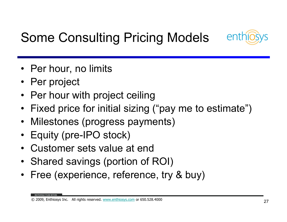

### Some Consulting Pricing Models

- Per hour, no limits
- Per project
- Per hour with project ceiling<br>————————————————————
- $\bullet$ Fixed price for initial sizing ("pay me to estimate")
- •Milestones (progress payments)
- •Equity (pre-IPO stock)
- •Customer sets value at end
- Shared savings (portion of ROI)
- •Free (experience, reference, try & buy)

© 2009, Enthiosys Inc. All rights reserved. www.enthiosys.com or 650.528.4000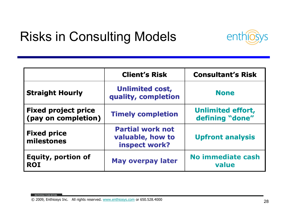#### Risks in Consulting Models



|                                                   | <b>Client's Risk</b>                                         | <b>Consultant's Risk</b>                    |
|---------------------------------------------------|--------------------------------------------------------------|---------------------------------------------|
| <b>Straight Hourly</b>                            | <b>Unlimited cost,</b><br>quality, completion                | <b>None</b>                                 |
| <b>Fixed project price</b><br>(pay on completion) | <b>Timely completion</b>                                     | <b>Unlimited effort,</b><br>defining "done" |
| <b>Fixed price</b><br>milestones                  | <b>Partial work not</b><br>valuable, how to<br>inspect work? | <b>Upfront analysis</b>                     |
| <b>Equity, portion of</b><br><b>ROI</b>           | <b>May overpay later</b>                                     | <b>No immediate cash</b><br>value           |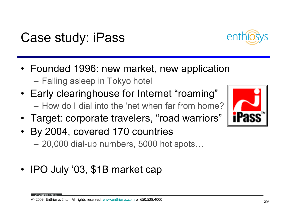#### Case study: iPass

- Founded 1996: new market, new application –Falling asleep in Tokyo hotel
- Early clearinghouse for Internet "roaming" How do I dial into the 'net when far from home?
- Target: corporate travelers, "road warriors"
- By 2004, covered 170 countries 20,000 dial-up numbers, 5000 hot spots…
- •IPO July '03, \$1B market cap



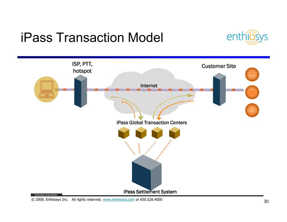#### iPass Transaction Model





© 2009, Enthiosys Inc. All rights reserved. www.enthiosys.com or 650.528.4000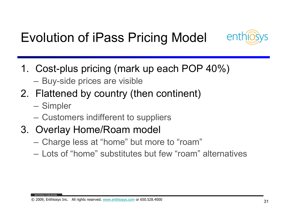### Evolution of iPass Pricing Model



- 1. Cost-plus pricing (mark up each POP 40%)
	- –Buy-side prices are visible
- 2. Flattened by country (then continent)
	- Simpler
	- Customers indifferent to suppliers
- 3. Overlay Home/Roam model
	- Charge less at "home" but more to "roam"
	- Lots of "home" substitutes but few "roam" alternatives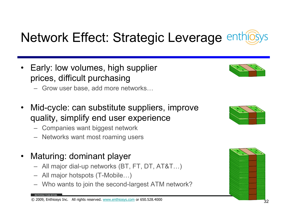### Network Effect: Strategic Leverage enthild

- • Early: low volumes, high supplier prices, difficult purchasing
	- Grow user base, add more networks…
- • Mid-cycle: can substitute suppliers, improve quality, simplify end user experience
	- Companies want biggest network
	- Networks want most roaming users
- $\bullet$  Maturing: dominant player
	- All major dial-up networks (BT, FT, DT, AT&T…)
	- All major hotspots (T-Mobile…)
	- –Who wants to join the second-largest ATM network?





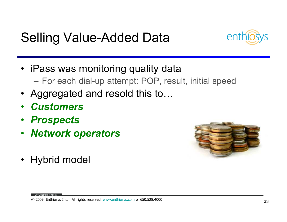#### Selling Value-Added Data



- iPass was monitoring quality data –For each dial-up attempt: POP, result, initial speed
- Aggregated and resold this to...
- •**Customers**
- Prospects
- Network operators $\bullet$



•Hybrid model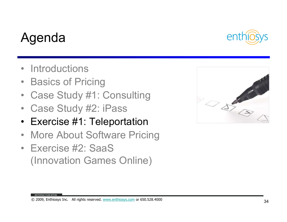#### © 2009, Enthiosys Inc. All rights reserved. www.enthiosys.com or 650.528.4000

#### 34

#### Agenda

- $\bullet$ **Introductions**
- $\bullet$ Basics of Pricing
- $\bullet$ Case Study #1: Consulting
- $\bullet$ Case Study #2: iPass
- Exercise #1: Teleportation •
- $\bullet$ More About Software Pricing
- Exercise #2: SaaS (Innovation Games Online)



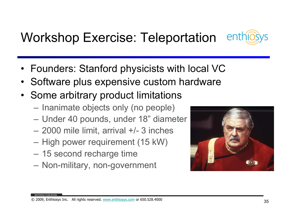### Workshop Exercise: Teleportation

- Founders: Stanford physicists with local VC
- $\bullet$ Software plus expensive custom hardware
- Some arbitrary product limitations
	- $-$  Inanimate objects only (no people)
	- –Under 40 pounds, under 18" diameter
	- 2000 mile limit, arrival +/- 3 inches
	- High power requirement (15 kW)
	- 15 second recharge time
	- Non-military, non-government



enth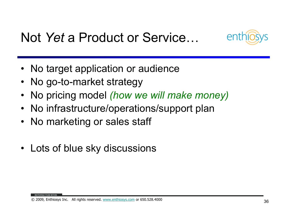



- No target application or audience
- No go-to-market strategy
- $\bullet$ No pricing model (how we will make money)
- No infrastructure/operations/support plan
- $\bullet$ No marketing or sales staff
- Lots of blue sky discussions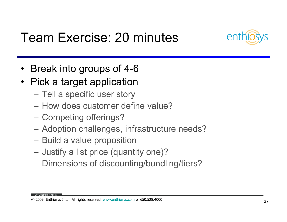

#### Team Exercise: 20 minutes

- $\bullet$ Break into groups of 4-6
- • Pick a target application
	- Tell a specific user story
	- How does customer define value?
	- Competing offerings?
	- –Adoption challenges, infrastructure needs?
	- Build a value proposition
	- Justify a list price (quantity one)?
	- Dimensions of discounting/bundling/tiers?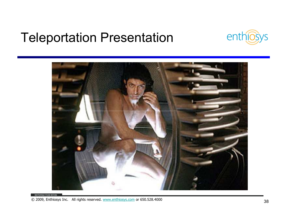#### Teleportation Presentation



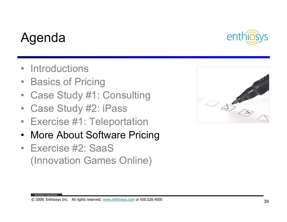#### © 2009, Enthiosys Inc. All rights reserved. www.enthiosys.com or 650.528.4000

#### 39

#### Agenda

- $\bullet$ **Introductions**
- $\bullet$ Basics of Pricing
- $\bullet$ Case Study #1: Consulting
- $\bullet$ Case Study #2: iPass
- Exercise #1: Teleportation  $\bullet$
- $\bullet$ More About Software Pricing
- Exercise #2: SaaS (Innovation Games Online)



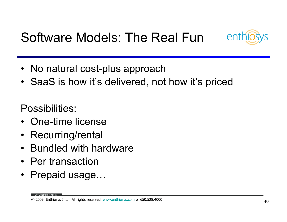#### Software Models: The Real Fun



- No natural cost-plus approach
- SaaS is how it's delivered, not how it's priced

Possibilities:

- •One-time license
- $\bullet$ Recurring/rental
- $\bullet$ Bundled with hardware
- Per transaction
- Prepaid usage…

© 2009, Enthiosys Inc. All rights reserved. www.enthiosys.com or 650.528.4000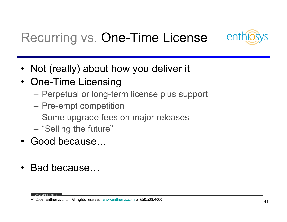

### Recurring vs. One-Time License

- $\bullet$ Not (really) about how you deliver it
- $\bullet$  One-Time Licensing
	- Perpetual or long-term license plus support
	- Pre-empt competition
	- Some upgrade fees on major releases
	- –"Selling the future"
- $\bullet$ Good because…
- $\bullet$ Bad because…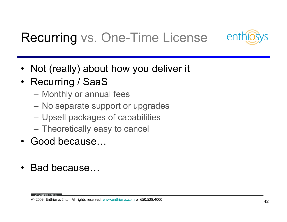

### Recurring vs. One-Time License

- $\bullet$ Not (really) about how you deliver it
- • Recurring / SaaS
	- Monthly or annual fees
	- No separate support or upgrades
	- Upsell packages of capabilities
	- –Theoretically easy to cancel
- $\bullet$ Good because…
- •Bad because…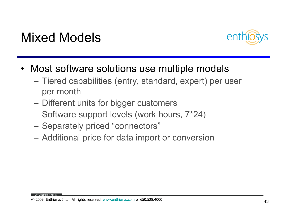#### Mixed Models



- $\bullet$  Most software solutions use multiple models
	- – Tiered capabilities (entry, standard, expert) per user per month
	- Different units for bigger customers
	- $-$  Software support levels (work hours, 7\*24)
	-
	- Separately priced "connectors"<br>
	 Additional price for data import or conversion<br>
	© 2009, Enthiosys Inc. All rights reserved. www.enthiosys.com or 650.528.4000<br>
	→ 4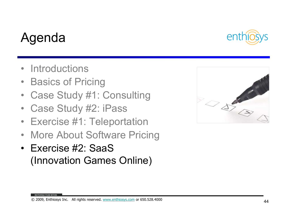#### © 2009, Enthiosys Inc. All rights reserved. www.enthiosys.com or 650.528.4000

#### Agenda

- $\bullet$ **Introductions**
- $\bullet$ Basics of Pricing
- $\bullet$ Case Study #1: Consulting
- $\bullet$ Case Study #2: iPass
- Exercise #1: Teleportation  $\bullet$
- $\bullet$ More About Software Pricing
- Exercise #2: SaaS (Innovation Games Online)



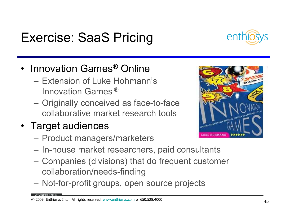#### Exercise: SaaS Pricing



- Innovation Games ® Online
	- –Extension of Luke Hohmann's Innovation Games  $^\circledR$
	- Originally conceived as face-to-face collaborative market research tools
- Target audiences
	- Product managers/marketers
	- In-house market researchers, paid consultants
	- Companies (divisions) that do frequent customer collaboration/needs-finding
	- –Not-for-profit groups, open source projects

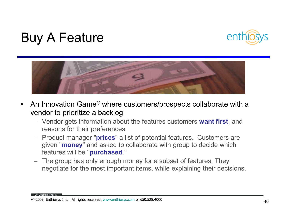#### Buy A Feature





- • An Innovation Game® where customers/prospects collaborate with a vendor to prioritize a backlog
	- Vendor gets information about the features customers want first, and reasons for their preferences reasons for their preferences
	- Product manager "**prices**" a list of potential features. Customers are<br>quien "manay" and soked to sollobarate with group to decide which given "money" and asked to collaborate with group to decide which features will be "purchased."
	- The group has only enough money for a subset of features. They negotiate for the most important items, while explaining their decisions.

© 2009, Enthiosys Inc. All rights reserved. www.enthiosys.com or 650.528.4000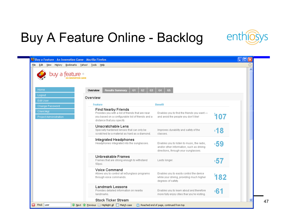### Buy A Feature Online - Backlog



| buy a feature $\mathbb S$                   |                                                                                                                                                                    |                |                                                                                                                                 |     |  |
|---------------------------------------------|--------------------------------------------------------------------------------------------------------------------------------------------------------------------|----------------|---------------------------------------------------------------------------------------------------------------------------------|-----|--|
| Home                                        | <b>Results Summary</b><br>Overview                                                                                                                                 | G1<br>G2<br>G3 | G4<br>G5                                                                                                                        |     |  |
| Logout                                      | Overview                                                                                                                                                           |                |                                                                                                                                 |     |  |
| Edit User<br>Change Password                | <b>Feature</b>                                                                                                                                                     |                | <b>Benefit</b>                                                                                                                  |     |  |
| Client Mgt<br><b>Project Administration</b> | <b>Find Nearby Friends</b><br>Provides you with a list of friends that are near<br>you based on a configurable list of friends and a<br>distance that you specify. |                | Enables you to find the friends you want-<br>and avoid the people you don't like!                                               | 107 |  |
|                                             | Unscratchable Lens<br>Specially hardened lenses that can only be<br>scratched by a material as hard as a diamond.                                                  |                | Improves durability and safety of the<br>classes.                                                                               | 18؛ |  |
|                                             | <b>Integrated Headphones</b><br>Headphones integrated into the sunglasses.                                                                                         |                | Enables you to listen to music, the radio,<br>and/or other information, such as driving<br>directions, through your sunglasses. | :59 |  |
|                                             | Unbreakable Frames<br>Frames that are strong enough to withstand<br>50psi.                                                                                         |                | Lasts longer.                                                                                                                   | :57 |  |
|                                             | Voice Command<br>Allows you to control all ieSunglass programs<br>through voice commands.                                                                          |                | Enables you to easily control the device<br>while your driving, providing much higher<br>degrees of safety.                     | ำ82 |  |
|                                             | <b>Landmark Lessons</b><br>Provides detailed information on nearby<br>landmarks.                                                                                   |                | Enables you to learn about and therefore<br>more fully enjoy cities thar you're visiting.                                       | ∘61 |  |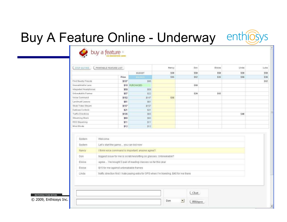# Buy A Feature Online - Underway enthiosys



| STOP BUYING               | PRINTABLE FEATURE LIST |                | Nancy | Don  | Eloise | Linda | Luke |
|---------------------------|------------------------|----------------|-------|------|--------|-------|------|
|                           |                        | <b>BUDGET</b>  | \$50  | \$50 | \$50   | \$50  | \$50 |
|                           | Price                  | <b>EALANCE</b> | \$15  | \$12 | \$35   | \$10  | \$38 |
| Find Nearby Friends       | \$107                  | \$95           |       |      |        |       | \$12 |
| Unscratchable Lens        |                        | \$18 PURCHASED |       | \$18 |        |       |      |
| ntegrated Headphones      | \$59                   | \$59           |       |      |        |       |      |
| Unbreakable Frames        | \$57                   | \$22           |       | \$20 | \$15   |       |      |
| Voice Command             | \$182                  | \$147          | \$35  |      |        |       |      |
| Landmark Lessons          | \$61                   | \$61           |       |      |        |       |      |
| Stock Ticker Stream       | \$157                  | \$157          |       |      |        |       |      |
| Darkness Controls         | \$21                   | \$21           |       |      |        |       |      |
| <b>Traffic Directions</b> | \$105                  | \$65           |       |      |        | \$40  |      |
| Streaming Music           | \$60                   | \$60           |       |      |        |       |      |
| RSS Streaming             | \$11                   | \$11           |       |      |        |       |      |
| Mind Blocks               | \$12                   | \$12           |       |      |        |       |      |

| System | <b>Welcome</b>                                                                             |  |
|--------|--------------------------------------------------------------------------------------------|--|
| System | Let's start the game you can bid now                                                       |  |
| Nancy  | I think voice command is important, anyone agree?                                          |  |
| Don    | biggest issue for me is scratches/sitting on glasses. Unbreakable?                         |  |
| Eloise | agree I've bought 3 pair of reading classes so far this year                               |  |
| Eloise | \$15 for me against unbreakable frames                                                     |  |
| Linda  | traffic direction first. I hate paying extra for GPS when I'm traveling. \$40 for me there |  |

| <b>FROM WITHIN</b>                                    |  |     | <b>CONTRACTOR</b>                               |
|-------------------------------------------------------|--|-----|-------------------------------------------------|
| <b>ጋበበር</b><br>$\odot$<br>-nthiosvs<br>Inc.<br>$-000$ |  | Don | Whispe<br>and the control of the control of the |

| $5 - 1$ |
|---------|
|         |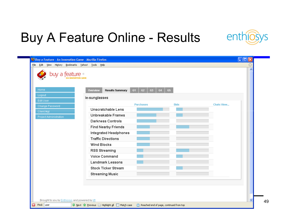### Buy A Feature Online - Results

enthios ys

| Home                         | <b>Results Summary</b><br>Overview | G2<br>G1<br>63   | 65 <sub>1</sub><br>64 |                   |  |
|------------------------------|------------------------------------|------------------|-----------------------|-------------------|--|
| Logout                       | ie-sunglasses                      |                  |                       |                   |  |
| Edit User<br>Change Password |                                    | <b>Purchases</b> | <b>Bids</b>           | <b>Chats View</b> |  |
| Client Mgt                   | <b>Unscratchable Lens</b>          |                  |                       |                   |  |
| Project Administration       | Unbreakable Frames                 |                  |                       |                   |  |
|                              | <b>Darkness Controls</b>           |                  |                       |                   |  |
|                              | <b>Find Nearby Friends</b>         |                  |                       |                   |  |
|                              | <b>Integrated Headphones</b>       |                  |                       |                   |  |
|                              | <b>Traffic Directions</b>          |                  |                       |                   |  |
|                              | <b>Wind Blocks</b>                 |                  |                       |                   |  |
|                              | <b>RSS Streaming</b>               |                  |                       |                   |  |
|                              | <b>Voice Command</b>               |                  |                       |                   |  |
|                              | <b>Landmark Lessons</b>            |                  |                       |                   |  |
|                              | <b>Stock Ticker Stream</b>         |                  |                       |                   |  |
|                              | <b>Streaming Music</b>             |                  |                       |                   |  |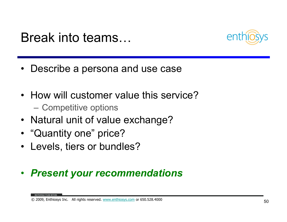



- Describe a persona and use case
- How will customer value this service? — Competitive options
- Natural unit of value exchange?
- "Quantity one" price?
- Levels, tiers or bundles?

#### $\bullet$ Present your recommendations

© 2009, Enthiosys Inc. All rights reserved. www.enthiosys.com or 650.528.4000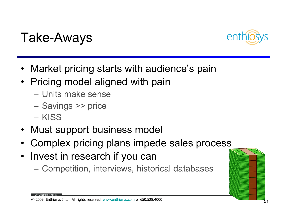



- Market pricing starts with audience's pain
- Pricing model aligned with pain
	- Units make sense
	- Savings >> price
	- **KISS**
- $\bullet$ Must support business model
- •Complex pricing plans impede sales process
- $\bullet$  Invest in research if you can
	- Competition, interviews, historical databases